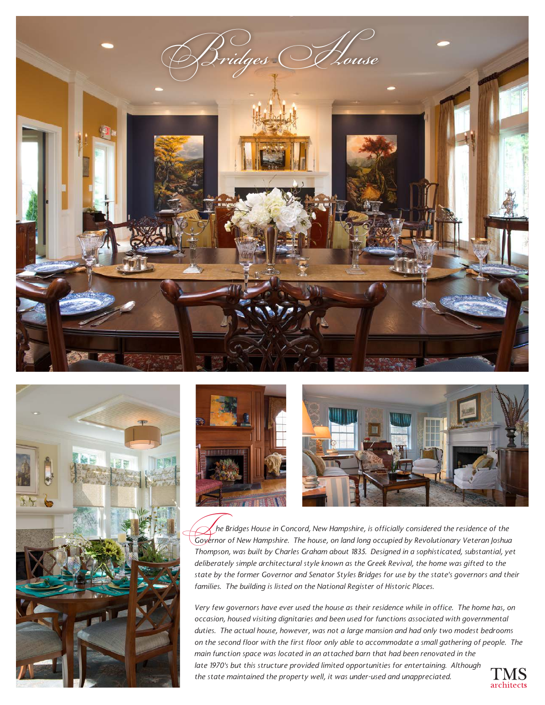





 *he Bridges House in Concord, New Hampshire, is officially considered the residence of the Governor of New Hampshire, is officially considered the residence of the*<br>Governor of New Hampshire. The house, on land long occupied by Revolutionary Veteran Joshua *Thompson, was built by Charles Graham about 1835. Designed in a sophisticated, substantial, yet deliberately simple architectural style known as the Greek Revival, the home was gifted to the state by the former Governor and Senator Styles Bridges for use by the state's governors and their families. The building is listed on the National Register of Historic Places.*

*Very few governors have ever used the house as their residence while in office. The home has, on occasion, housed visiting dignitaries and been used for functions associated with governmental duties. The actual house, however, was not a large mansion and had only two modest bedrooms on the second floor with the first floor only able to accommodate a small gathering of people. The main function space was located in an attached barn that had been renovated in the late 1970's but this structure provided limited opportunities for entertaining. Although the state maintained the property well, it was under-used and unappreciated.*